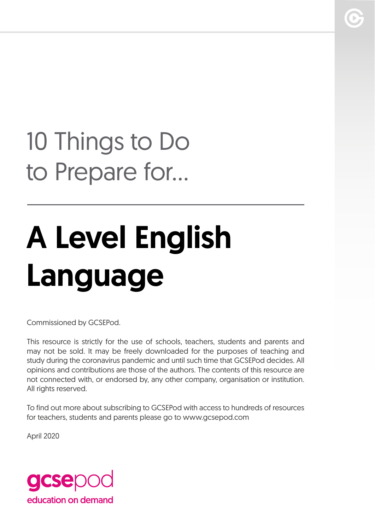## 10 Things to Do to Prepare for...

# A Level English Language

Commissioned by GCSEPod.

This resource is strictly for the use of schools, teachers, students and parents and may not be sold. It may be freely downloaded for the purposes of teaching and study during the coronavirus pandemic and until such time that GCSEPod decides. All opinions and contributions are those of the authors. The contents of this resource are not connected with, or endorsed by, any other company, organisation or institution. All rights reserved.

To find out more about subscribing to GCSEPod with access to hundreds of resources for teachers, students and parents please go to www.gcsepod.com

April 2020

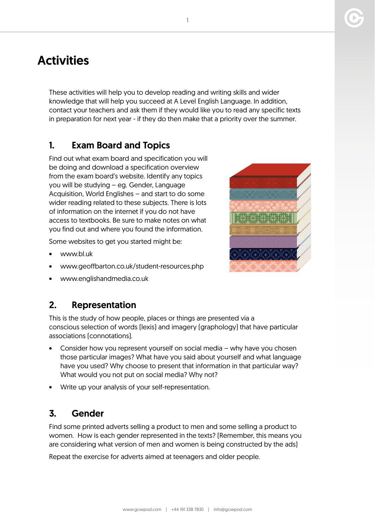### **Activities**

These activities will help you to develop reading and writing skills and wider knowledge that will help you succeed at A Level English Language. In addition, contact your teachers and ask them if they would like you to read any specific texts in preparation for next year - if they do then make that a priority over the summer.

#### 1. Exam Board and Topics

Find out what exam board and specification you will be doing and download a specification overview from the exam board's website. Identify any topics you will be studying – eg. Gender, Language Acquisition, World Englishes – and start to do some wider reading related to these subjects. There is lots of information on the internet if you do not have access to textbooks. Be sure to make notes on what you find out and where you found the information.

Some websites to get you started might be:

- www.bl.uk
- www.geoffbarton.co.uk/student-resources.php
- www.englishandmedia.co.uk



This is the study of how people, places or things are presented via a conscious selection of words (lexis) and imagery (graphology) that have particular associations (connotations).

- Consider how you represent yourself on social media why have you chosen those particular images? What have you said about yourself and what language have you used? Why choose to present that information in that particular way? What would you not put on social media? Why not?
- Write up your analysis of your self-representation.

#### 3. Gender

Find some printed adverts selling a product to men and some selling a product to women. How is each gender represented in the texts? (Remember, this means you are considering what version of men and women is being constructed by the ads)

Repeat the exercise for adverts aimed at teenagers and older people.

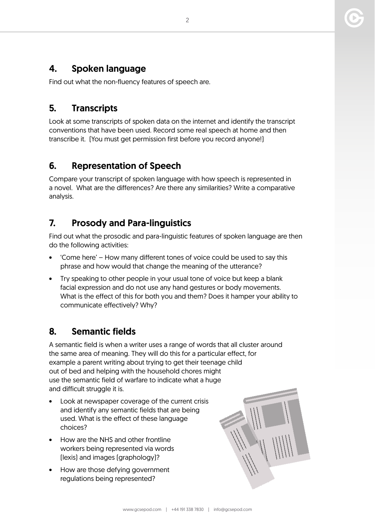#### 4. Spoken language

Find out what the non-fluency features of speech are.

#### 5. Transcripts

Look at some transcripts of spoken data on the internet and identify the transcript conventions that have been used. Record some real speech at home and then transcribe it. (You must get permission first before you record anyone!)

#### 6. Representation of Speech

Compare your transcript of spoken language with how speech is represented in a novel. What are the differences? Are there any similarities? Write a comparative analysis.

#### 7. Prosody and Para-linguistics

Find out what the prosodic and para-linguistic features of spoken language are then do the following activities:

- 'Come here' How many different tones of voice could be used to say this phrase and how would that change the meaning of the utterance?
- Try speaking to other people in your usual tone of voice but keep a blank facial expression and do not use any hand gestures or body movements. What is the effect of this for both you and them? Does it hamper your ability to communicate effectively? Why?

#### 8. Semantic fields

A semantic field is when a writer uses a range of words that all cluster around the same area of meaning. They will do this for a particular effect, for example a parent writing about trying to get their teenage child out of bed and helping with the household chores might use the semantic field of warfare to indicate what a huge and difficult struggle it is.

- Look at newspaper coverage of the current crisis and identify any semantic fields that are being used. What is the effect of these language choices?
- How are the NHS and other frontline workers being represented via words (lexis) and images (graphology)?
- How are those defying government regulations being represented?